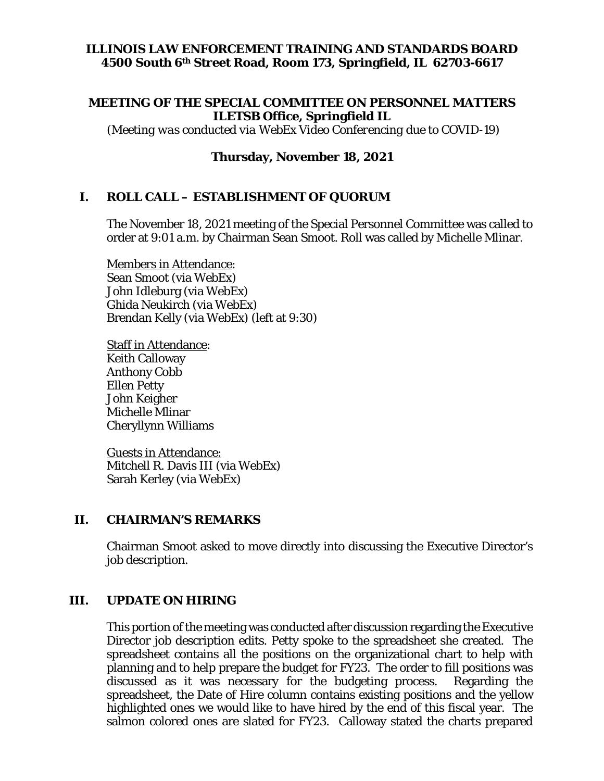## **ILLINOIS LAW ENFORCEMENT TRAINING AND STANDARDS BOARD 4500 South 6th Street Road, Room 173, Springfield, IL 62703-6617**

### **MEETING OF THE SPECIAL COMMITTEE ON PERSONNEL MATTERS ILETSB Office, Springfield IL**

*(Meeting was conducted via WebEx Video Conferencing due to COVID-19)*

### **Thursday, November 18, 2021**

### **I. ROLL CALL – ESTABLISHMENT OF QUORUM**

The November 18, 2021 meeting of the Special Personnel Committee was called to order at 9:01 a.m. by Chairman Sean Smoot. Roll was called by Michelle Mlinar.

Members in Attendance: Sean Smoot (via WebEx) John Idleburg (via WebEx) Ghida Neukirch (via WebEx) Brendan Kelly (via WebEx) (left at 9:30)

Staff in Attendance: Keith Calloway Anthony Cobb Ellen Petty John Keigher Michelle Mlinar Cheryllynn Williams

Guests in Attendance: Mitchell R. Davis III (via WebEx) Sarah Kerley (via WebEx)

#### **II. CHAIRMAN'S REMARKS**

Chairman Smoot asked to move directly into discussing the Executive Director's job description.

#### **III. UPDATE ON HIRING**

This portion of the meeting was conducted after discussion regarding the Executive Director job description edits. Petty spoke to the spreadsheet she created. The spreadsheet contains all the positions on the organizational chart to help with planning and to help prepare the budget for FY23. The order to fill positions was discussed as it was necessary for the budgeting process. Regarding the spreadsheet, the Date of Hire column contains existing positions and the yellow highlighted ones we would like to have hired by the end of this fiscal year. The salmon colored ones are slated for FY23. Calloway stated the charts prepared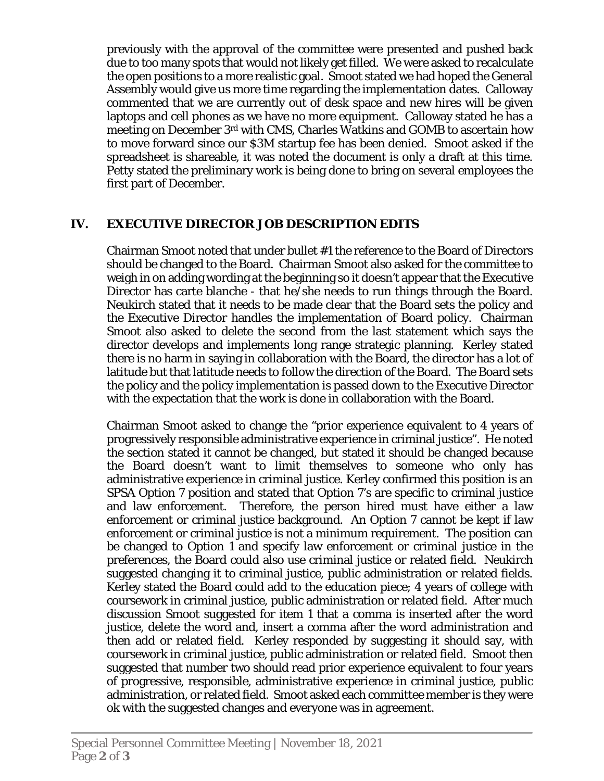previously with the approval of the committee were presented and pushed back due to too many spots that would not likely get filled. We were asked to recalculate the open positions to a more realistic goal. Smoot stated we had hoped the General Assembly would give us more time regarding the implementation dates. Calloway commented that we are currently out of desk space and new hires will be given laptops and cell phones as we have no more equipment. Calloway stated he has a meeting on December 3rd with CMS, Charles Watkins and GOMB to ascertain how to move forward since our \$3M startup fee has been denied. Smoot asked if the spreadsheet is shareable, it was noted the document is only a draft at this time. Petty stated the preliminary work is being done to bring on several employees the first part of December.

## **IV. EXECUTIVE DIRECTOR JOB DESCRIPTION EDITS**

Chairman Smoot noted that under bullet #1 the reference to the Board of Directors should be changed to the Board. Chairman Smoot also asked for the committee to weigh in on adding wording at the beginning so it doesn't appear that the Executive Director has carte blanche - that he/she needs to run things through the Board. Neukirch stated that it needs to be made clear that the Board sets the policy and the Executive Director handles the implementation of Board policy. Chairman Smoot also asked to delete the second from the last statement which says the director develops and implements long range strategic planning. Kerley stated there is no harm in saying in collaboration with the Board, the director has a lot of latitude but that latitude needs to follow the direction of the Board. The Board sets the policy and the policy implementation is passed down to the Executive Director with the expectation that the work is done in collaboration with the Board.

Chairman Smoot asked to change the "prior experience equivalent to 4 years of progressively responsible administrative experience in criminal justice". He noted the section stated it cannot be changed, but stated it should be changed because the Board doesn't want to limit themselves to someone who only has administrative experience in criminal justice. Kerley confirmed this position is an SPSA Option 7 position and stated that Option 7's are specific to criminal justice and law enforcement. Therefore, the person hired must have either a law enforcement or criminal justice background. An Option 7 cannot be kept if law enforcement or criminal justice is not a minimum requirement. The position can be changed to Option 1 and specify law enforcement or criminal justice in the preferences, the Board could also use criminal justice or related field. Neukirch suggested changing it to criminal justice, public administration or related fields. Kerley stated the Board could add to the education piece; 4 years of college with coursework in criminal justice, public administration or related field. After much discussion Smoot suggested for item 1 that a comma is inserted after the word justice, delete the word and, insert a comma after the word administration and then add or related field. Kerley responded by suggesting it should say, with coursework in criminal justice, public administration or related field. Smoot then suggested that number two should read prior experience equivalent to four years of progressive, responsible, administrative experience in criminal justice, public administration, or related field. Smoot asked each committee member is they were ok with the suggested changes and everyone was in agreement.